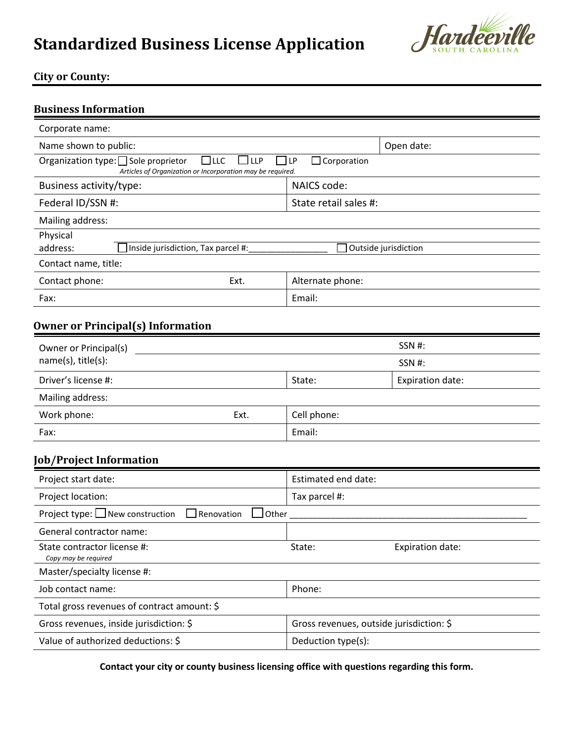# **Standardized Business License Application**



# **City or County:**

| <b>Business Information</b>                                                                                                                                 |                                          |                       |                      |  |  |
|-------------------------------------------------------------------------------------------------------------------------------------------------------------|------------------------------------------|-----------------------|----------------------|--|--|
| Corporate name:                                                                                                                                             |                                          |                       |                      |  |  |
| Name shown to public:                                                                                                                                       |                                          |                       | Open date:           |  |  |
| Organization type: □ Sole proprietor<br>$\Box$ LLC<br>$\Box$ LLP<br>]LP<br>$\Box$ Corporation<br>Articles of Organization or Incorporation may be required. |                                          |                       |                      |  |  |
| Business activity/type:                                                                                                                                     |                                          | NAICS code:           |                      |  |  |
| Federal ID/SSN #:                                                                                                                                           |                                          | State retail sales #: |                      |  |  |
| Mailing address:                                                                                                                                            |                                          |                       |                      |  |  |
| Physical<br>address:                                                                                                                                        | Inside jurisdiction, Tax parcel #:       |                       | Outside jurisdiction |  |  |
| Contact name, title:                                                                                                                                        |                                          |                       |                      |  |  |
| Contact phone:                                                                                                                                              | Ext.                                     | Alternate phone:      |                      |  |  |
| Fax:                                                                                                                                                        |                                          | Email:                |                      |  |  |
|                                                                                                                                                             | <b>Owner or Principal(s) Information</b> |                       |                      |  |  |
| Owner or Principal(s)<br>name(s), title(s):                                                                                                                 |                                          | SSN #:                |                      |  |  |
|                                                                                                                                                             |                                          |                       | SSN #:               |  |  |
| Driver's license #:                                                                                                                                         |                                          | State:                | Expiration date:     |  |  |
| Mailing address:                                                                                                                                            |                                          |                       |                      |  |  |
| Work phone:                                                                                                                                                 | Ext.                                     | Cell phone:           |                      |  |  |
| Fax:                                                                                                                                                        |                                          | Email:                |                      |  |  |
| <b>Job/Project Information</b>                                                                                                                              |                                          |                       |                      |  |  |
| Project start date:                                                                                                                                         |                                          | Fstimated end date:   |                      |  |  |

| Project start date:                                                        | Estimated end date:                      |  |  |  |  |
|----------------------------------------------------------------------------|------------------------------------------|--|--|--|--|
| Project location:                                                          | Tax parcel #:                            |  |  |  |  |
| Project type: $\Box$ New construction<br>$\Box$ Renovation<br>$\Box$ Other |                                          |  |  |  |  |
| General contractor name:                                                   |                                          |  |  |  |  |
| State contractor license #:<br>Copy may be required                        | Expiration date:<br>State:               |  |  |  |  |
| Master/specialty license #:                                                |                                          |  |  |  |  |
| Job contact name:                                                          | Phone:                                   |  |  |  |  |
| Total gross revenues of contract amount: \$                                |                                          |  |  |  |  |
| Gross revenues, inside jurisdiction: \$                                    | Gross revenues, outside jurisdiction: \$ |  |  |  |  |
| Value of authorized deductions: \$                                         | Deduction type(s):                       |  |  |  |  |

**Contact your city or county business licensing office with questions regarding this form.**